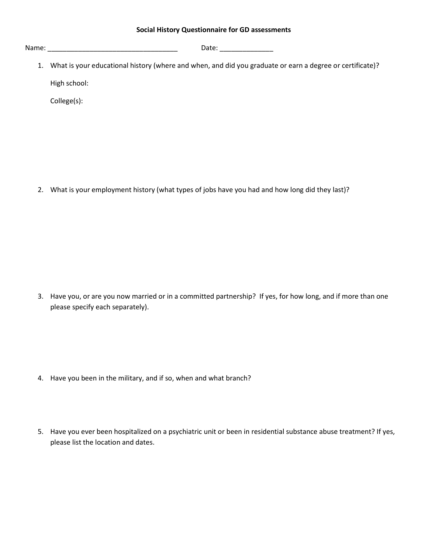Name: \_\_\_\_\_\_\_\_\_\_\_\_\_\_\_\_\_\_\_\_\_\_\_\_\_\_\_\_\_\_\_\_\_\_ Date: \_\_\_\_\_\_\_\_\_\_\_\_\_\_

1. What is your educational history (where and when, and did you graduate or earn a degree or certificate)? High school:

College(s):

2. What is your employment history (what types of jobs have you had and how long did they last)?

3. Have you, or are you now married or in a committed partnership? If yes, for how long, and if more than one please specify each separately).

- 4. Have you been in the military, and if so, when and what branch?
- 5. Have you ever been hospitalized on a psychiatric unit or been in residential substance abuse treatment? If yes, please list the location and dates.